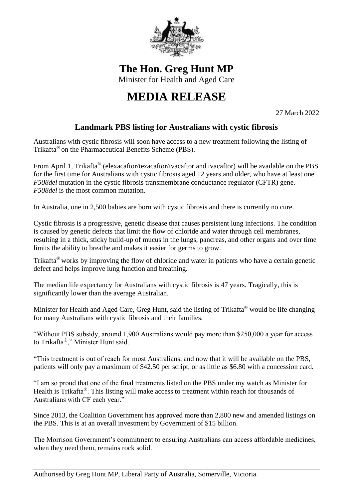

**The Hon. Greg Hunt MP**

Minister for Health and Aged Care

## **MEDIA RELEASE**

27 March 2022

## **Landmark PBS listing for Australians with cystic fibrosis**

Australians with cystic fibrosis will soon have access to a new treatment following the listing of Trikafta® on the Pharmaceutical Benefits Scheme (PBS).

From April 1, Trikafta® (elexacaftor/tezacaftor/ivacaftor and ivacaftor) will be available on the PBS for the first time for Australians with cystic fibrosis aged 12 years and older, who have at least one *F508del* mutation in the cystic fibrosis transmembrane conductance regulator (CFTR) gene. *F508del* is the most common mutation.

In Australia, one in 2,500 babies are born with cystic fibrosis and there is currently no cure.

Cystic fibrosis is a progressive, genetic disease that causes persistent lung infections. The condition is caused by genetic defects that limit the flow of chloride and water through cell membranes, resulting in a thick, sticky build-up of mucus in the lungs, pancreas, and other organs and over time limits the ability to breathe and makes it easier for germs to grow.

Trikafta® works by improving the flow of chloride and water in patients who have a certain genetic defect and helps improve lung function and breathing.

The median life expectancy for Australians with cystic fibrosis is 47 years. Tragically, this is significantly lower than the average Australian.

Minister for Health and Aged Care, Greg Hunt, said the listing of Trikafta® would be life changing for many Australians with cystic fibrosis and their families.

"Without PBS subsidy, around 1,900 Australians would pay more than \$250,000 a year for access to Trikafta ®," Minister Hunt said.

"This treatment is out of reach for most Australians, and now that it will be available on the PBS, patients will only pay a maximum of \$42.50 per script, or as little as \$6.80 with a concession card.

"I am so proud that one of the final treatments listed on the PBS under my watch as Minister for Health is Trikafta®. This listing will make access to treatment within reach for thousands of Australians with CF each year."

Since 2013, the Coalition Government has approved more than 2,800 new and amended listings on the PBS. This is at an overall investment by Government of \$15 billion.

The Morrison Government's commitment to ensuring Australians can access affordable medicines, when they need them, remains rock solid.